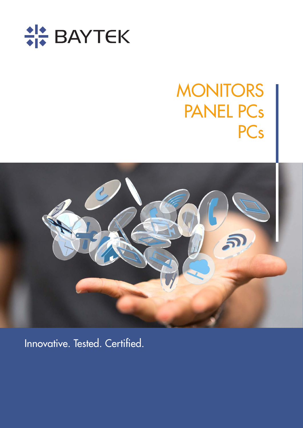

# **MONITORS** PANEL PCs **PCs**



Innovative. Tested. Certified.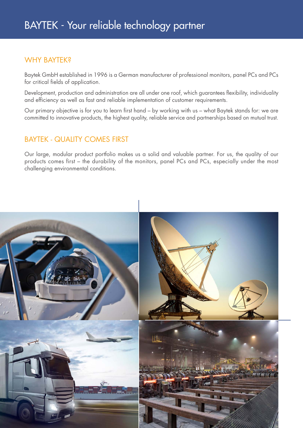#### WHY BAYTEK?

Baytek GmbH established in 1996 is a German manufacturer of professional monitors, panel PCs and PCs for critical fields of application.

Development, production and administration are all under one roof, which guarantees flexibility, individuality and efficiency as well as fast and reliable implementation of customer requirements.

Our primary objective is for you to learn first hand – by working with us – what Baytek stands for: we are committed to innovative products, the highest quality, reliable service and partnerships based on mutual trust.

#### BAYTEK - QUALITY COMES FIRST

Our large, modular product portfolio makes us a solid and valuable partner. For us, the quality of our products comes first – the durability of the monitors, panel PCs and PCs, especially under the most challenging environmental conditions.

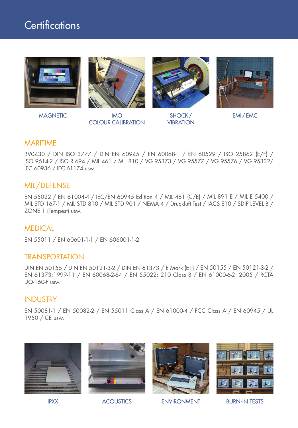### Certifications









MAGNETIC IMO COLOUR CALIBRATION

SHOCK / **VIBRATION** 

EMI / EMC

#### MARITIME

BV0430 / DIN ISO 3777 / DIN EN 60945 / EN 60068-1 / EN 60529 / ISO 25862 (E/F) / ISO 9614-2 / ISO R 694 / MIL 461 / MIL 810 / VG 95373 / VG 95577 / VG 95576 / VG 95332/ IEC 60936 / IEC 61174 usw.

#### MIL/DEFENSE

EN 55022 / EN 61004-4 / IEC/EN 60945 Edition 4 / MIL 461 (C/E) / MIL 891 E / MIL E 5400 / MIL STD 167-1 / MIL STD 810 / MIL STD 901 / NEMA 4 / Druckluft Test / IACS E10 / SDIP LEVEL B / ZONE 1 (Tempest) usw.

#### MEDICAL

EN 55011 / EN 60601-1-1 / EN 606001-1-2

#### **TRANSPORTATION**

DIN EN 50155 / DIN EN 50121-3-2 / DIN EN 61373 / E Mark (E1) / EN 50155 / EN 50121-3-2 / EN 61373:1999-11 / EN 60068-2-64 / EN 55022: 210 Class B / EN 61000-6-2: 2005 / RCTA DO-160-F usw.

#### INDUSTRY

EN 50081-1 / EN 50082-2 / EN 55011 Class A / EN 61000-4 / FCC Class A / EN 60945 / UL 1950 / CE usw.









IPXX ACOUSTICS ENVIRONMENT BURN-IN TESTS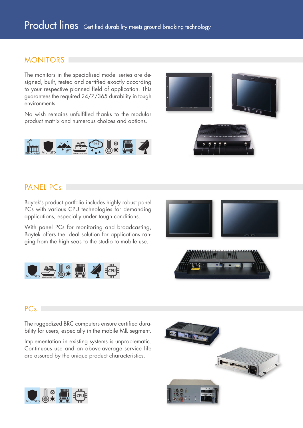#### MONITORS<sup>1</sup>

The monitors in the specialised model series are designed, built, tested and certified exactly according to your respective planned field of application. This guarantees the required 24/7/365 durability in tough environments.

No wish remains unfulfilled thanks to the modular product matrix and numerous choices and options.





### PANEL PC<sub>s</sub>

Baytek's product portfolio includes highly robust panel PCs with various CPU technologies for demanding applications, especially under tough conditions.

With panel PCs for monitoring and broadcasting, Baytek offers the ideal solution for applications ranging from the high seas to the studio to mobile use.





#### PC<sub>s</sub>

The ruggedized BRC computers ensure certified durability for users, especially in the mobile MIL segment.

Implementation in existing systems is unproblematic. Continuous use and an above-average service life are assured by the unique product characteristics.



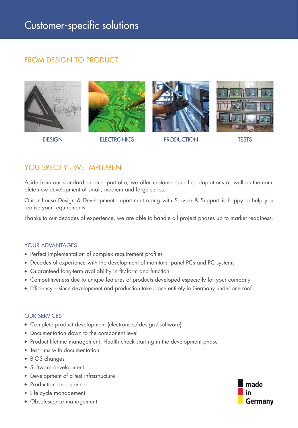#### FROM DESIGN TO PRODUCT





DESIGN ELECTRONICS PRODUCTION TESTS





#### YOU SPECIFY - WE IMPLEMENT

Aside from our standard product portfolio, we offer customer-specific adaptations as well as the complete new development of small, medium and large series.

Our in-house Design & Development department along with Service & Support is happy to help you realise your requirements.

Thanks to our decades of experience, we are able to handle all project phases up to market readiness.

#### YOUR ADVANTAGES

- Perfect implementation of complex requirement profiles
- Decades of experience with the development of monitors, panel PCs and PC systems
- Guaranteed long-term availability in fit/form and function
- Competitiveness due to unique features of products developed especially for your company
- Efficiency since development and production take place entirely in Germany under one roof

#### OUR SERVICES

- Complete product development (electronics / design / software)
- Documentation down to the component level
- Product lifetime management. Health check starting in the development phase
- Test runs with documentation
- BIOS changes
- Software development
- Development of a test infrastructure
- Production and service
- Life cycle management
- Obsolescence management